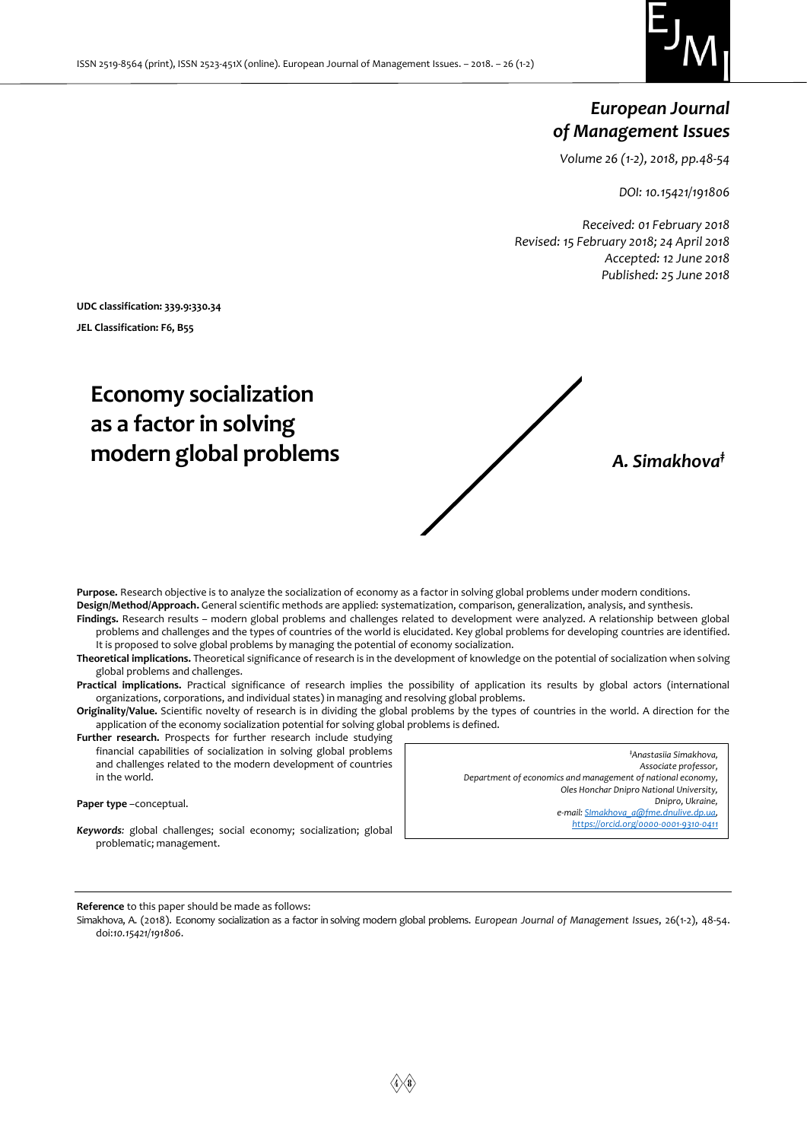

# *European Journal of Management Issues*

*Volume 26 (1-2), 2018, pp.48-54*

*DOI: 10.15421/191806*

*Received: 01 February 2018 Revised: 15 February 2018; 24 April 2018 Accepted: 12 June 2018 Published: 25 June 2018*

**UDC classification: 339.9:330.34 JEL Classification: F6, B55**

# **Economy socialization as a factor in solving modern global problems** *A. Simakhova‡*



**Purpose.** Research objective is to analyze the socialization of economy as a factor in solving global problems under modern conditions. **Design/Method/Approach.** General scientific methods are applied: systematization, comparison, generalization, analysis, and synthesis.

**Findings.** Research results – modern global problems and challenges related to development were analyzed. A relationship between global problems and challenges and the types of countries of the world is elucidated. Key global problems for developing countries are identified. It is proposed to solve global problems by managing the potential of economy socialization.

**Theoretical implications.** Theoretical significance of research is in the development of knowledge on the potential of socialization when solving global problems and challenges.

**Practical implications.** Practical significance of research implies the possibility of application its results by global actors (international organizations, corporations, and individual states) in managing and resolving global problems.

**Originality/Value.** Scientific novelty of research is in dividing the global problems by the types of countries in the world. A direction for the application of the economy socialization potential for solving global problems is defined.

Further research. Prospects for further research include studying financial capabilities of socialization in solving global problems and challenges related to the modern development of countries in the world.

**Paper type** –сonceptual.

*Keywords:* global challenges; social economy; socialization; global problematic; management.

*‡Anastasiia Simakhova, Associate professor, Department of economics and management of national economy, Oles Honchar Dnipro National University, Dnipro, Ukraine, e-mail: [SImakhova\\_a@fme.dnulive.dp.ua,](mailto:Simakhova_a@fme.dnulive.dp.ua) <https://orcid.org/0000-0001-9310-0411>*

**Reference** to this paper should be made as follows:

Simakhova, A. (2018). Economy socialization as a factor in solving modern global problems. *European Journal of Management Issues*, 26(1-2), 48-54. doi:*10.15421/191806*.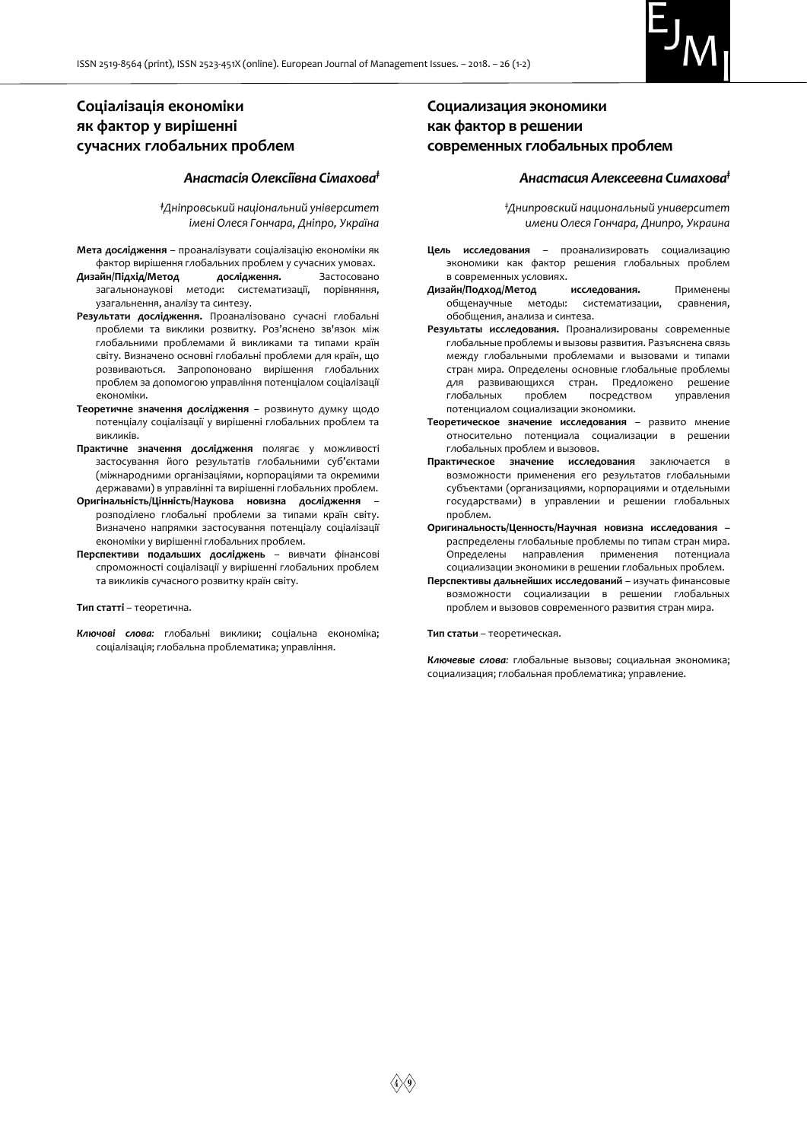

# **Соціалізація економіки як фактор у вирішенні сучасних глобальних проблем**

#### *Анастасія Олексіївна Сімахова‡*

*‡Дніпровський національний університет імені Олеся Гончара, Дніпро, Україна*

- **Мета дослідження** проаналізувати соціалізацію економіки як фактор вирішення глобальних проблем у сучасних умовах.
- **Дизайн/Підхід/Метод дослідження.** Застосовано загальнонаукові методи: систематизації, порівняння, узагальнення, аналізу та синтезу.
- **Результати дослідження.** Проаналізовано сучасні глобальні проблеми та виклики розвитку. Роз'яснено зв'язок між глобальними проблемами й викликами та типами країн світу. Визначено основні глобальні проблеми для країн, що розвиваються. Запропоновано вирішення глобальних проблем за допомогою управління потенціалом соціалізації економіки.
- **Теоретичне значення дослідження** розвинуто думку щодо потенціалу соціалізації у вирішенні глобальних проблем та викликів.
- **Практичне значення дослідження** полягає у можливості застосування його результатів глобальними суб'єктами (міжнародними організаціями, корпораціями та окремими державами) в управлінні та вирішенні глобальних проблем.
- **Оригінальність/Цінність/Наукова новизна дослідження** розподілено глобальні проблеми за типами країн світу. Визначено напрямки застосування потенціалу соціалізації економіки у вирішенні глобальних проблем.
- **Перспективи подальших досліджень** вивчати фінансові спроможності соціалізації у вирішенні глобальних проблем та викликів сучасного розвитку країн світу.

#### **Тип статті** – теоретична.

*Ключові слова:* глобальні виклики; соціальна економіка; соціалізація; глобальна проблематика; управління.

# **Социализация экономики как фактор в решении современных глобальных проблем**

#### *Анастасия Алексеевна Симахова‡*

*‡Днипровский национальный университет имени Олеся Гончара, Днипро, Украина*

- **Цель исследования**  проанализировать социализацию экономики как фактор решения глобальных проблем в современных условиях.
- **Дизайн/Подход/Метод исследования.** Применены общенаучные методы: систематизации, сравнения, обобщения, анализа и синтеза.
- **Результаты исследования.** Проанализированы современные глобальные проблемы и вызовы развития. Разъяснена связь между глобальными проблемами и вызовами и типами стран мира. Определены основные глобальные проблемы для развивающихся стран. Предложено решение глобальных проблем посредством управления потенциалом социализации экономики.
- **Теоретическое значение исследования**  развито мнение относительно потенциала социализации в решении глобальных проблем и вызовов.
- **Практическое значение исследования** заключается в возможности применения его результатов глобальными субъектами (организациями, корпорациями и отдельными государствами) в управлении и решении глобальных проблем.
- **Оригинальность/Ценность/Научная новизна исследования –** распределены глобальные проблемы по типам стран мира. Определены направления применения потенциала социализации экономики в решении глобальных проблем.
- **Перспективы дальнейших исследований**  изучать финансовые возможности социализации в решении глобальных проблем и вызовов современного развития стран мира.

**Тип статьи** – теоретическая.

*Ключевые слова:* глобальные вызовы; социальная экономика; социализация; глобальная проблематика; управление.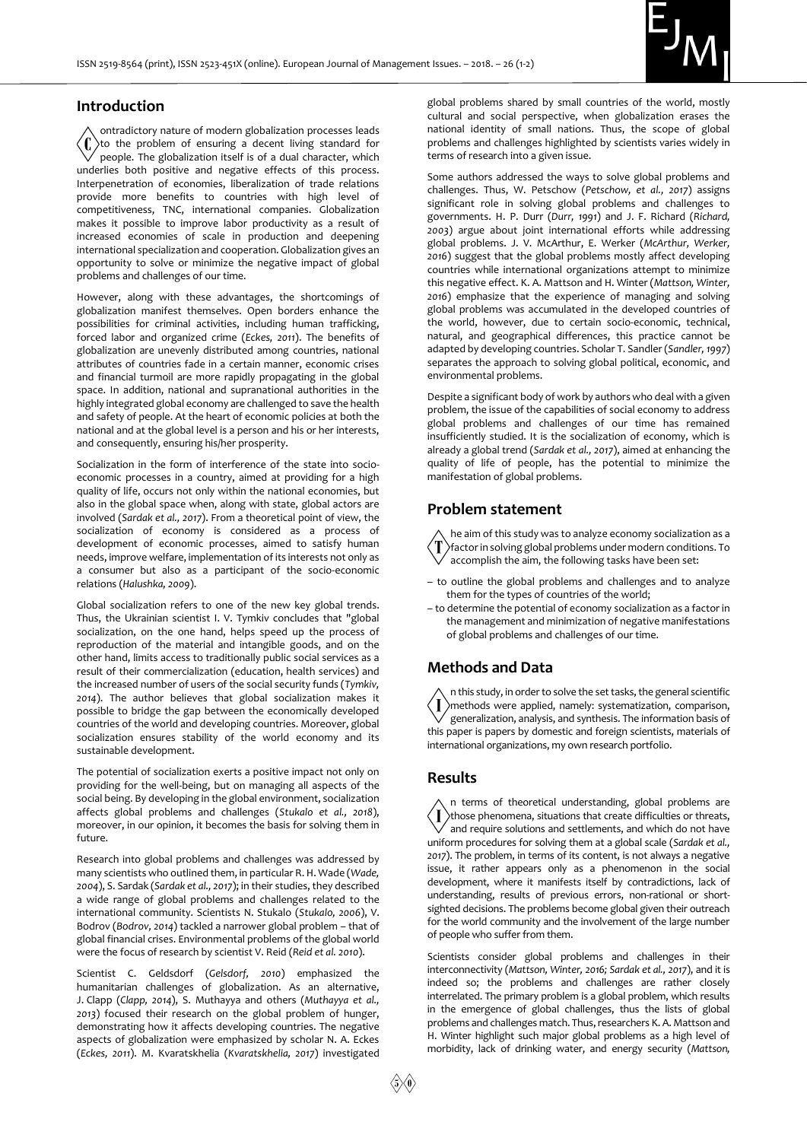

#### **Introduction**

ontradictory nature of modern globalization processes leads to the problem of ensuring a decent living standard for people. The globalization itself is of a dual character, which underlies both positive and negative effects of this process. Interpenetration of economies, liberalization of trade relations provide more benefits to countries with high level of competitiveness, TNC, international companies. Globalization makes it possible to improve labor productivity as a result of increased economies of scale in production and deepening international specialization and cooperation. Globalization gives an opportunity to solve or minimize the negative impact of global problems and challenges of our time.

However, along with these advantages, the shortcomings of globalization manifest themselves. Open borders enhance the possibilities for criminal activities, including human trafficking, forced labor and organized crime (*Eckes, 2011*). The benefits of globalization are unevenly distributed among countries, national attributes of countries fade in a certain manner, economic crises and financial turmoil are more rapidly propagating in the global space. In addition, national and supranational authorities in the highly integrated global economy are challenged to save the health and safety of people. At the heart of economic policies at both the national and at the global level is a person and his or her interests, and consequently, ensuring his/her prosperity.

Socialization in the form of interference of the state into socioeconomic processes in a country, aimed at providing for a high quality of life, occurs not only within the national economies, but also in the global space when, along with state, global actors are involved (*Sardak et al., 2017*). From a theoretical point of view, the socialization of economy is considered as a process of development of economic processes, aimed to satisfy human needs, improve welfare, implementation of its interests not only as a consumer but also as a participant of the socio-economic relations (*Halushka, 2009*).

Global socialization refers to one of the new key global trends. Thus, the Ukrainian scientist I. V. Tymkiv concludes that "global socialization, on the one hand, helps speed up the process of reproduction of the material and intangible goods, and on the other hand, limits access to traditionally public social services as a result of their commercialization (education, health services) and the increased number of users of the social security funds (*Tymkiv, 2014*). The author believes that global socialization makes it possible to bridge the gap between the economically developed countries of the world and developing countries. Moreover, global socialization ensures stability of the world economy and its sustainable development.

The potential of socialization exerts a positive impact not only on providing for the well-being, but on managing all aspects of the social being. By developing in the global environment, socialization affects global problems and challenges (*Stukalo et al., 2018*), moreover, in our opinion, it becomes the basis for solving them in future.

Research into global problems and challenges was addressed by many scientists who outlined them, in particular R. H. Wade (*Wade, 2004*), S. Sardak (*Sardak et al., 2017*); in their studies, they described a wide range of global problems and challenges related to the international community. Scientists N. Stukalo (*Stukalo, 2006*), V. Bodrov (*Bodrov, 2014*) tackled a narrower global problem – that of global financial crises. Environmental problems of the global world were the focus of research by scientist V. Reid (*Reid et al. 2010*).

Scientist C. Geldsdorf (*Gelsdorf, 2010*) emphasized the humanitarian challenges of globalization. As an alternative, J. Clapp (*Clapp, 2014*), S. Muthayya and others (*Muthayya et al., 2013*) focused their research on the global problem of hunger, demonstrating how it affects developing countries. The negative aspects of globalization were emphasized by scholar N. A. Eckes (*Eckes, 2011*). M. Kvaratskhelia (*Kvaratskhelia, 2017*) investigated

global problems shared by small countries of the world, mostly cultural and social perspective, when globalization erases the national identity of small nations. Thus, the scope of global problems and challenges highlighted by scientists varies widely in terms of research into a given issue.

Some authors addressed the ways to solve global problems and challenges. Thus, W. Petschow (*Petschow, et al., 2017*) assigns significant role in solving global problems and challenges to governments. H. P. Durr (*Durr, 1991*) and J. F. Richard (*Richard, 2003*) argue about joint international efforts while addressing global problems. J. V. McArthur, E. Werker (*McArthur, Werker, 2016*) suggest that the global problems mostly affect developing countries while international organizations attempt to minimize this negative effect. K. A. Mattson and H. Winter (*Mattson, Winter, 2016*) emphasize that the experience of managing and solving global problems was accumulated in the developed countries of the world, however, due to certain socio-economic, technical, natural, and geographical differences, this practice cannot be adapted by developing countries. Scholar T. Sandler (*Sandler, 1997*) separates the approach to solving global political, economic, and environmental problems.

Despite a significant body of work by authors who deal with a given problem, the issue of the capabilities of social economy to address global problems and challenges of our time has remained insufficiently studied. It is the socialization of economy, which is already a global trend (*Sardak et al., 2017*), aimed at enhancing the quality of life of people, has the potential to minimize the manifestation of global problems.

## **Problem statement**

he aim of this study was to analyze economy socialization as a factor in solving global problems under modern conditions. To accomplish the aim, the following tasks have been set:

- to outline the global problems and challenges and to analyze them for the types of countries of the world;
- to determine the potential of economy socialization as a factor in the management and minimization of negative manifestations of global problems and challenges of our time.

### **Methods and Data**

n this study, in order to solve the set tasks, the general scientific methods were applied, namely: systematization, comparison, generalization, analysis, and synthesis. The information basis of this paper is papers by domestic and foreign scientists, materials of international organizations, my own research portfolio.

#### **Results**

n terms of theoretical understanding, global problems are I >those phenomena, situations that create difficulties or threats, and require solutions and settlements, and which do not have uniform procedures for solving them at a global scale (*Sardak et al., 2017*). The problem, in terms of its content, is not always a negative issue, it rather appears only as a phenomenon in the social development, where it manifests itself by contradictions, lack of understanding, results of previous errors, non-rational or shortsighted decisions. The problems become global given their outreach for the world community and the involvement of the large number of people who suffer from them.

Scientists consider global problems and challenges in their interconnectivity (*Mattson, Winter, 2016; Sardak et al., 2017*), and it is indeed so; the problems and challenges are rather closely interrelated. The primary problem is a global problem, which results in the emergence of global challenges, thus the lists of global problems and challenges match. Thus, researchers K. A. Mattson and H. Winter highlight such major global problems as a high level of morbidity, lack of drinking water, and energy security (*Mattson,*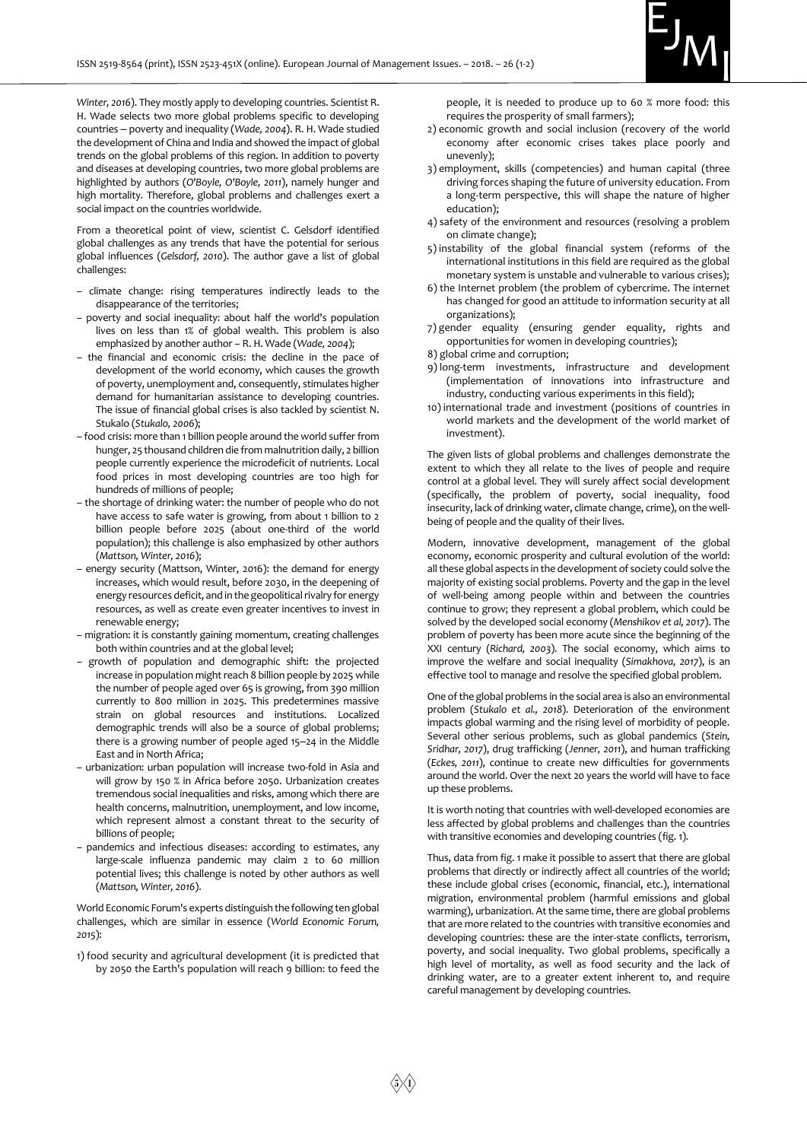

*Winter, 2016*). They mostly apply to developing countries. Scientist R. H. Wade selects two more global problems specific to developing countries ‒ poverty and inequality (*Wade, 2004*). R. H. Wade studied the development of China and India and showed the impact of global trends on the global problems of this region. In addition to poverty and diseases at developing countries, two more global problems are highlighted by authors (*O'Boyle, O'Boyle, 2011*), namely hunger and high mortality. Therefore, global problems and challenges exert a social impact on the countries worldwide.

From a theoretical point of view, scientist C. Gelsdorf identified global challenges as any trends that have the potential for serious global influences (*Gelsdorf, 2010*). The author gave a list of global challenges:

- climate change: rising temperatures indirectly leads to the disappearance of the territories;
- poverty and social inequality: about half the world's population lives on less than 1% of global wealth. This problem is also emphasized by another author – R. H. Wade (*Wade, 2004*);
- the financial and economic crisis: the decline in the pace of development of the world economy, which causes the growth of poverty, unemployment and, consequently, stimulates higher demand for humanitarian assistance to developing countries. The issue of financial global crises is also tackled by scientist N. Stukalo (*Stukalo, 2006*);
- food crisis: more than 1 billion people around the world suffer from hunger, 25 thousand children die from malnutrition daily, 2 billion people currently experience the microdeficit of nutrients. Local food prices in most developing countries are too high for hundreds of millions of people;
- the shortage of drinking water: the number of people who do not have access to safe water is growing, from about 1 billion to 2 billion people before 2025 (about one-third of the world population); this challenge is also emphasized by other authors (*Mattson, Winter, 2016*);
- energy security (Mattson, Winter, 2016): the demand for energy increases, which would result, before 2030, in the deepening of energy resources deficit, and in the geopolitical rivalry for energy resources, as well as create even greater incentives to invest in renewable energy;
- migration: it is constantly gaining momentum, creating challenges both within countries and at the global level;
- growth of population and demographic shift: the projected increase in population might reach 8 billion people by 2025 while the number of people aged over 65 is growing, from 390 million currently to 800 million in 2025. This predetermines massive strain on global resources and institutions. Localized demographic trends will also be a source of global problems; there is a growing number of people aged 15-24 in the Middle East and in North Africa;
- urbanization: urban population will increase two-fold in Asia and will grow by 150 % in Africa before 2050. Urbanization creates tremendous social inequalities and risks, among which there are health concerns, malnutrition, unemployment, and low income, which represent almost a constant threat to the security of billions of people;
- pandemics and infectious diseases: according to estimates, any large-scale influenza pandemic may claim 2 to 60 million potential lives; this challenge is noted by other authors as well (*Mattson, Winter, 2016*).

World Economic Forum's experts distinguish the following ten global challenges, which are similar in essence (*World Economic Forum, 2015*):

1) food security and agricultural development (it is predicted that by 2050 the Earth's population will reach 9 billion: to feed the

people, it is needed to produce up to 60 % more food: this requires the prosperity of small farmers);

- 2) economic growth and social inclusion (recovery of the world economy after economic crises takes place poorly and unevenly);
- 3) employment, skills (competencies) and human capital (three driving forces shaping the future of university education. From a long-term perspective, this will shape the nature of higher education);
- 4) safety of the environment and resources (resolving a problem on climate change);
- 5) instability of the global financial system (reforms of the international institutions in this field are required as the global monetary system is unstable and vulnerable to various crises);
- 6) the Internet problem (the problem of cybercrime. The internet has changed for good an attitude to information security at all organizations);
- 7) gender equality (ensuring gender equality, rights and opportunities for women in developing countries);
- 8) global crime and corruption;
- 9) long-term investments, infrastructure and development (implementation of innovations into infrastructure and industry, conducting various experiments in this field);
- 10) international trade and investment (positions of countries in world markets and the development of the world market of investment).

The given lists of global problems and challenges demonstrate the extent to which they all relate to the lives of people and require control at a global level. They will surely affect social development (specifically, the problem of poverty, social inequality, food insecurity, lack of drinking water, climate change, crime), on the wellbeing of people and the quality of their lives.

Modern, innovative development, management of the global economy, economic prosperity and cultural evolution of the world: all these global aspects in the development of society could solve the majority of existing social problems. Poverty and the gap in the level of well-being among people within and between the countries continue to grow; they represent a global problem, which could be solved by the developed social economy (*Menshikov et al, 2017*). The problem of poverty has been more acute since the beginning of the XXI century (*Richard, 2003*). The social economy, which aims to improve the welfare and social inequality (*Simakhova, 2017*), is an effective tool to manage and resolve the specified global problem.

One of the global problems in the social area is also an environmental problem (*Stukalo et al., 2018*). Deterioration of the environment impacts global warming and the rising level of morbidity of people. Several other serious problems, such as global pandemics (*Stein, Sridhar, 2017*), drug trafficking (*Jenner, 2011*), and human trafficking (*Eckes, 2011*), continue to create new difficulties for governments around the world. Over the next 20 years the world will have to face up these problems.

It is worth noting that countries with well-developed economies are less affected by global problems and challenges than the countries with transitive economies and developing countries (fig. 1).

Thus, data from fig. 1 make it possible to assert that there are global problems that directly or indirectly affect all countries of the world; these include global crises (economic, financial, etc.), international migration, environmental problem (harmful emissions and global warming), urbanization. At the same time, there are global problems that are more related to the countries with transitive economies and developing countries: these are the inter-state conflicts, terrorism, poverty, and social inequality. Two global problems, specifically a high level of mortality, as well as food security and the lack of drinking water, are to a greater extent inherent to, and require careful management by developing countries.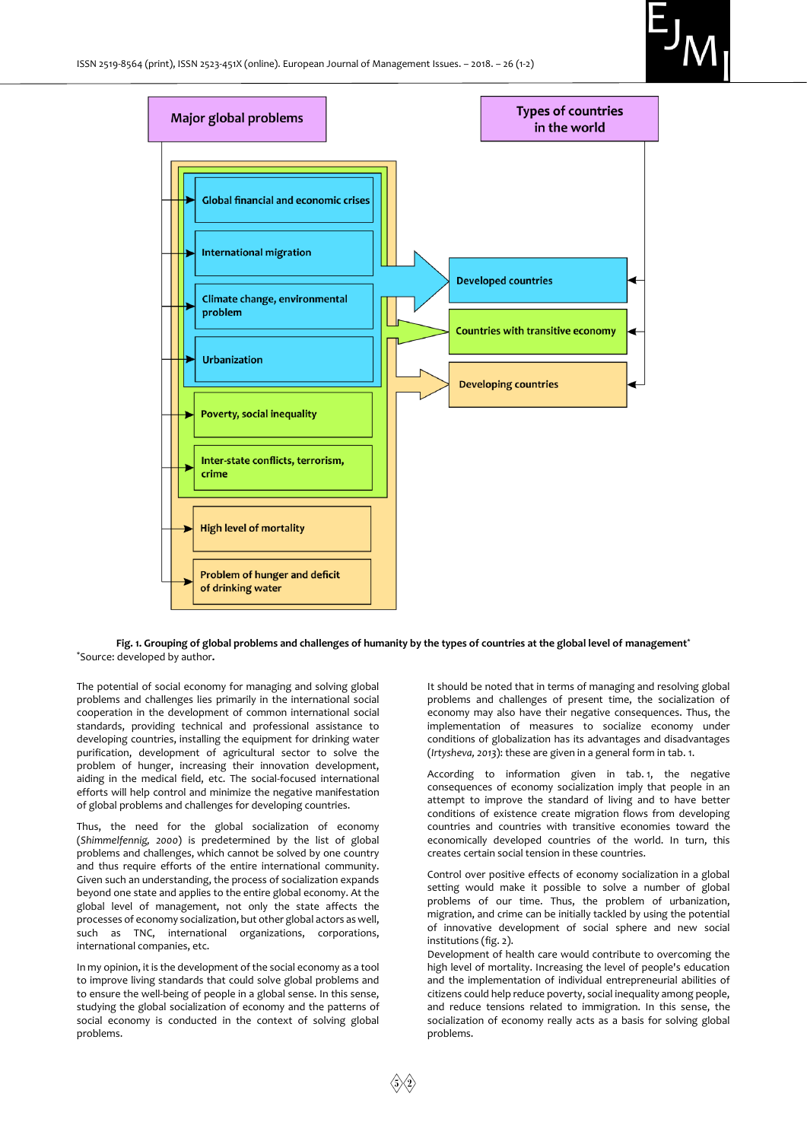



#### **Fig. 1. Grouping of global problems and challenges of humanity by the types of countries at the global level of management\*** \*Source: developed by author**.**

The potential of social economy for managing and solving global problems and challenges lies primarily in the international social cooperation in the development of common international social standards, providing technical and professional assistance to developing countries, installing the equipment for drinking water purification, development of agricultural sector to solve the problem of hunger, increasing their innovation development, aiding in the medical field, etc. The social-focused international efforts will help control and minimize the negative manifestation of global problems and challenges for developing countries.

Thus, the need for the global socialization of economy (*Shimmelfennig, 2000*) is predetermined by the list of global problems and challenges, which cannot be solved by one country and thus require efforts of the entire international community. Given such an understanding, the process of socialization expands beyond one state and applies to the entire global economy. At the global level of management, not only the state affects the processes of economy socialization, but other global actors as well, such as TNC, international organizations, corporations, international companies, etc.

In my opinion, it is the development of the social economy as a tool to improve living standards that could solve global problems and to ensure the well-being of people in a global sense. In this sense, studying the global socialization of economy and the patterns of social economy is conducted in the context of solving global problems.

It should be noted that in terms of managing and resolving global problems and challenges of present time, the socialization of economy may also have their negative consequences. Thus, the implementation of measures to socialize economy under conditions of globalization has its advantages and disadvantages (*Irtysheva, 2013*): these are given in a general form in tab. 1.

According to information given in tab. 1, the negative consequences of economy socialization imply that people in an attempt to improve the standard of living and to have better conditions of existence create migration flows from developing countries and countries with transitive economies toward the economically developed countries of the world. In turn, this creates certain social tension in these countries.

Control over positive effects of economy socialization in a global setting would make it possible to solve a number of global problems of our time. Thus, the problem of urbanization, migration, and crime can be initially tackled by using the potential of innovative development of social sphere and new social institutions (fig. 2).

Development of health care would contribute to overcoming the high level of mortality. Increasing the level of people's education and the implementation of individual entrepreneurial abilities of citizens could help reduce poverty, social inequality among people, and reduce tensions related to immigration. In this sense, the socialization of economy really acts as a basis for solving global problems.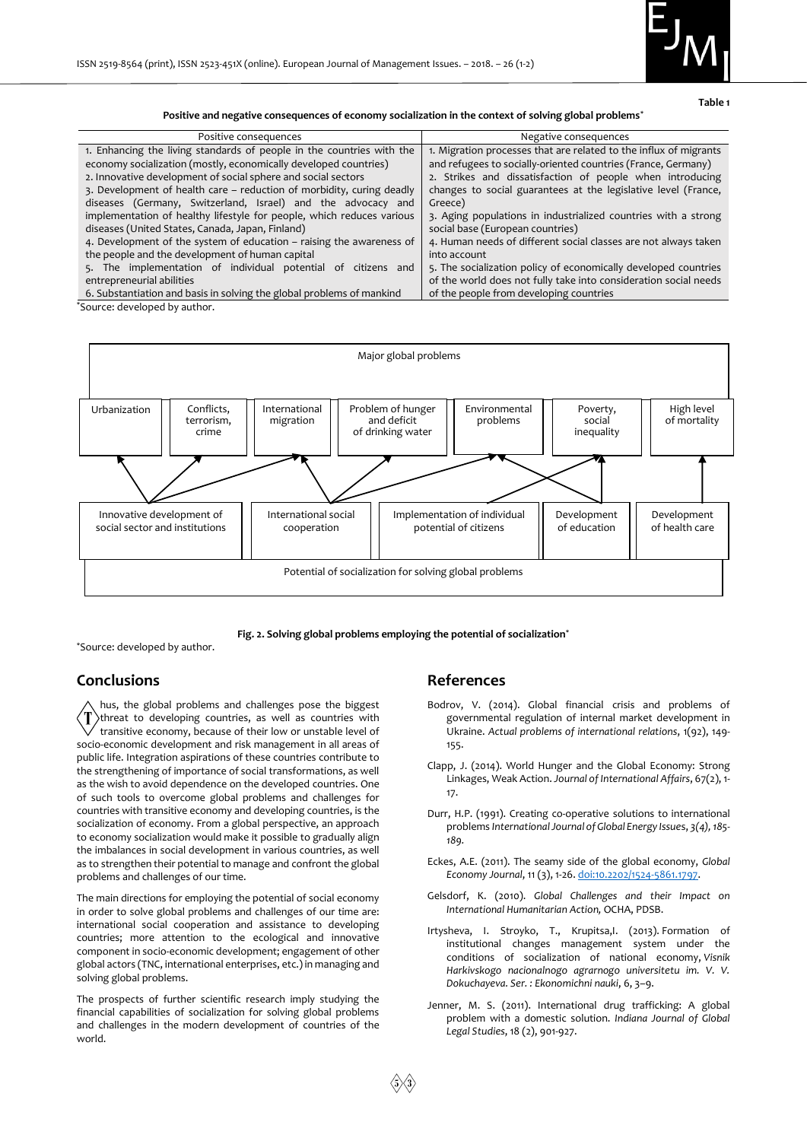

**Table 1**

**Positive and negative consequences of economy socialization in the context of solving global problems\***

| Positive consequences                                                 | Negative consequences                                             |
|-----------------------------------------------------------------------|-------------------------------------------------------------------|
| 1. Enhancing the living standards of people in the countries with the | 1. Migration processes that are related to the influx of migrants |
| economy socialization (mostly, economically developed countries)      | and refugees to socially-oriented countries (France, Germany)     |
| 2. Innovative development of social sphere and social sectors         | 2. Strikes and dissatisfaction of people when introducing         |
| 3. Development of health care – reduction of morbidity, curing deadly | changes to social guarantees at the legislative level (France,    |
| diseases (Germany, Switzerland, Israel) and the advocacy and          | Greece)                                                           |
| implementation of healthy lifestyle for people, which reduces various | 3. Aging populations in industrialized countries with a strong    |
| diseases (United States, Canada, Japan, Finland)                      | social base (European countries)                                  |
| 4. Development of the system of education – raising the awareness of  | 4. Human needs of different social classes are not always taken   |
| the people and the development of human capital                       | into account                                                      |
| 5. The implementation of individual potential of citizens and         | 5. The socialization policy of economically developed countries   |
| entrepreneurial abilities                                             | of the world does not fully take into consideration social needs  |
| 6. Substantiation and basis in solving the global problems of mankind | of the people from developing countries                           |
|                                                                       |                                                                   |

\*Source: developed by author.



**Fig. 2. Solving global problems employing the potential of socialization\***

\*Source: developed by author.

## **Conclusions**

hus, the global problems and challenges pose the biggest threat to developing countries, as well as countries with transitive economy, because of their low or unstable level of socio-economic development and risk management in all areas of public life. Integration aspirations of these countries contribute to the strengthening of importance of social transformations, as well as the wish to avoid dependence on the developed countries. One of such tools to overcome global problems and challenges for countries with transitive economy and developing countries, is the socialization of economy. From a global perspective, an approach to economy socialization would make it possible to gradually align the imbalances in social development in various countries, as well as to strengthen their potential to manage and confront the global problems and challenges of our time.

The main directions for employing the potential of social economy in order to solve global problems and challenges of our time are: international social cooperation and assistance to developing countries; more attention to the ecological and innovative component in socio-economic development; engagement of other global actors (TNC, international enterprises, etc.) in managing and solving global problems.

The prospects of further scientific research imply studying the financial capabilities of socialization for solving global problems and challenges in the modern development of countries of the world.

#### **References**

- Bodrov, V. (2014). Global financial crisis and problems of governmental regulation of internal market development in Ukraine. *Actual problems of international relations*, 1(92), 149- 155.
- Clapp, J. (2014). World Hunger and the Global Economy: Strong Linkages, Weak Action. *Journal of International Affairs*, 67(2), 1- 17.
- Durr, H.P. (1991). Creating co-operative solutions to international problems *[International Journal of Global Energy Issue](http://www.inderscience.com/www/info/new/inarticletoc.php?jcode=ijgei&year=1991&vol=3&issue=4)*s, *3(4), 185- [189.](http://www.inderscience.com/www/info/new/inarticletoc.php?jcode=ijgei&year=1991&vol=3&issue=4)*
- Eckes, A.E. (2011). The seamy side of the global economy, *Global Economy Journal*, 11 (3), 1-26[. doi:10.2202/1524-5861.1797.](https://doi.org/10.2202/1524-5861.1797)
- Gelsdorf, K. (2010). *Global Challenges and their Impact on International Humanitarian Action,* OCHA, PDSB.
- Irtysheva, I. Stroyko, T., Krupitsa, I. (2013). Formation of institutional changes management system under the conditions of socialization of national economy, *Visnik Harkivskogo nacionalnogo agrarnogo universitetu im. V. V. Dokuchayeva. Ser. : Ekonomichni nauki*, 6, 3–9.
- Jenner, M. S. (2011). International drug trafficking: A global problem with a domestic solution. *Indiana Journal of Global Legal Studies*, 18 (2), 901-927.